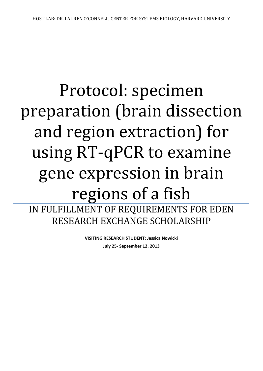# Protocol: specimen preparation (brain dissection and region extraction) for using RT-qPCR to examine gene expression in brain regions of a fish IN FULFILLMENT OF REQUIREMENTS FOR EDEN RESEARCH EXCHANGE SCHOLARSHIP

**VISITING RESEARCH STUDENT: Jessica Nowicki July 25- September 12, 2013**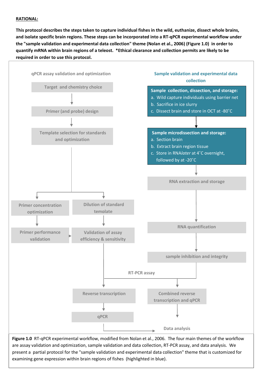# **RATIONAL:**

**This protocol describes the steps taken to capture individual fishes in the wild, euthanize, dissect whole brains, and isolate specific brain regions. These steps can be incorporated into a RT-qPCR experimental workflow under the "sample validation and experimental data collection" theme (Nolan et al., 2006) (Figure 1.0) in order to quantify mRNA within brain regions of a teleost. \*Ethical clearance and collection permits are likely to be required in order to use this protocol.**



**Figure 1.0** RT-qPCR experimental workflow, modified from Nolan et al., 2006. The four main themes of the workflow are assay validation and optimization, sample validation and data collection, RT-PCR assay, and data analysis. We present a partial protocol for the "sample validation and experimental data collection" theme that is customized for examining gene expression within brain regions of fishes (highlighted in blue).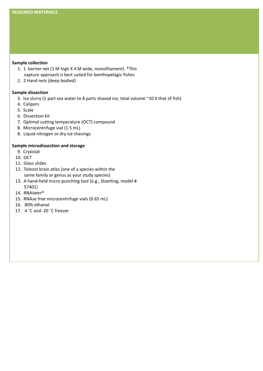## **Sample collection**

- 1. 1 barrier net (1 M high X 4 M wide, monofilament). \*This capture approach is best suited for benthopelagic fishes
- 2. 2 Hand nets (deep bodied)

# **Sample dissection**

- 3. Ice slurry (1 part sea water to 8 parts shaved ice; total volume ~10 X that of fish)
- 4. Calipers
- 5. Scale
- 6. Dissection kit
- 7. Optimal cutting temperature (OCT) compound
- 8. Microcentrifuge vial (1.5 mL)
- 8. Liquid nitrogen or dry ice shavings

# **Sample microdissection and storage**

- 9. Cryostat
- 10. OCT
- 11. Glass slides
- 12. Teleost brain atlas (one of a species within the same family or genus as your study species)
- 13. A hand-held micro-punching tool (e.g., Stoelting, model # 57401)
- 14. RNA*later*®
- 15. RNAse free microcentrifuge vials (0.65 mL)
- 16. 80% ethanol
- 17. 4 ˚C and -20 ˚C freezer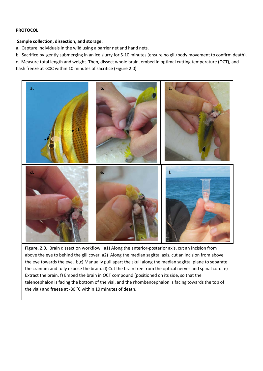# **PROTOCOL**

## **Sample collection, dissection, and storage:**

a. Capture individuals in the wild using a barrier net and hand nets.

b. Sacrifice by gently submerging in an ice slurry for 5-10 minutes (ensure no gill/body movement to confirm death).

c. Measure total length and weight. Then, dissect whole brain, embed in optimal cutting temperature (OCT), and

flash freeze at -80C within 10 minutes of sacrifice (Figure 2.0).



**Figure. 2.0.** Brain dissection workflow. a1) Along the anterior-posterior axis, cut an incision from above the eye to behind the gill cover. a2) Along the median sagittal axis, cut an incision from above the eye towards the eye. b,c) Manually pull apart the skull along the median sagittal plane to separate the cranium and fully expose the brain. d) Cut the brain free from the optical nerves and spinal cord. e) Extract the brain. f) Embed the brain in OCT compound (positioned on its side, so that the telencephalon is facing the bottom of the vial, and the rhombencephalon is facing towards the top of the vial) and freeze at -80 ˚C within 10 minutes of death.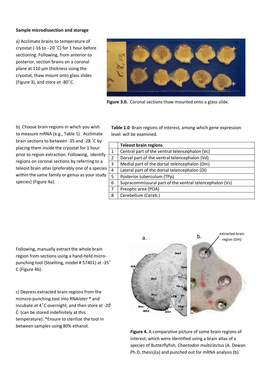### **Sample microdissection and storage**

a) Acclimate brains to temperature of cryostat (-16 to - 20 ˚C) for 1 hour before sectioning. Following, from anterior to posterior, section brains on a coronal plane at 110 µm thickness using the cryostat, thaw mount onto glass slides (Figure 3), and store at -80 $^{\circ}$ C.



**Figure 3.0.** Coronal sections thaw mounted onto a glass slide.

b) Choose brain regions in which you wish to measure mRNA (e.g., Table 1). Acclimate brain sections to between -35 and -28 ˚C by placing them inside the cryostat for 1 hour prior to region extraction. Following, identify regions on coronal sections by referring to a teleost brain atlas (preferably one of a species within the same family or genus as your study species) (Figure 4a).

**Table 1.0** Brain regions of interest, among which gene expression level will be examined.

|                | <b>Teleost brain regions</b>                            |
|----------------|---------------------------------------------------------|
| 1              | Central part of the ventral telencephalon (Vc)          |
| $\overline{2}$ | Dorsal part of the ventral telencephalon (Vd)           |
| 3              | Medial part of the dorsal telencephalon (Dm)            |
| 4              | Lateral part of the dorsal telencephalon (DI)           |
| 5              | Posterior tuberculum (TPp)                              |
| 6              | Supracommissural part of the ventral telencephalon (Vs) |
| 7              | Preoptic area (POA)                                     |
| 8              | Cerebellum (Cereb.)                                     |

Following, manually extract the whole brain region from sections using a hand-held micropunching tool (Stoelting, model # 57401) at -35 ͦ C (Figure 4b).

c) Depress extracted brain regions from the mimcro-punching tool into RNA*later* ® and incubate at  $4^{\circ}$ C overnight, and then store at -20° C (can be stored indefinitely at this temperature). \*Ensure to sterilize the tool in between samples using 80% ethanol.



**Figure 4.** A comparative picture of some brain regions of interest, which were identified using a brain atlas of a species of Butterflyfish, *Chaetodon multicinctus* (A. Dewan Ph.D. thesis)(a) and punched out for mRNA analysis (b).